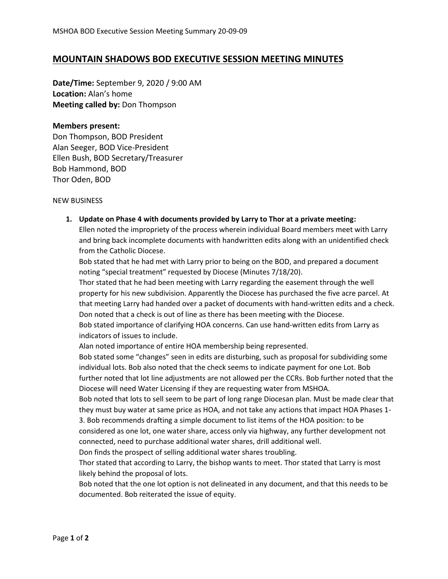## **MOUNTAIN SHADOWS BOD EXECUTIVE SESSION MEETING MINUTES**

**Date/Time:** September 9, 2020 / 9:00 AM **Location:** Alan's home **Meeting called by:** Don Thompson

## **Members present:**

Don Thompson, BOD President Alan Seeger, BOD Vice-President Ellen Bush, BOD Secretary/Treasurer Bob Hammond, BOD Thor Oden, BOD

NEW BUSINESS

**1. Update on Phase 4 with documents provided by Larry to Thor at a private meeting:**

Ellen noted the impropriety of the process wherein individual Board members meet with Larry and bring back incomplete documents with handwritten edits along with an unidentified check from the Catholic Diocese.

Bob stated that he had met with Larry prior to being on the BOD, and prepared a document noting "special treatment" requested by Diocese (Minutes 7/18/20).

Thor stated that he had been meeting with Larry regarding the easement through the well property for his new subdivision. Apparently the Diocese has purchased the five acre parcel. At that meeting Larry had handed over a packet of documents with hand-written edits and a check. Don noted that a check is out of line as there has been meeting with the Diocese.

Bob stated importance of clarifying HOA concerns. Can use hand-written edits from Larry as indicators of issues to include.

Alan noted importance of entire HOA membership being represented.

Bob stated some "changes" seen in edits are disturbing, such as proposal for subdividing some individual lots. Bob also noted that the check seems to indicate payment for one Lot. Bob further noted that lot line adjustments are not allowed per the CCRs. Bob further noted that the Diocese will need Water Licensing if they are requesting water from MSHOA.

Bob noted that lots to sell seem to be part of long range Diocesan plan. Must be made clear that they must buy water at same price as HOA, and not take any actions that impact HOA Phases 1- 3. Bob recommends drafting a simple document to list items of the HOA position: to be considered as one lot, one water share, access only via highway, any further development not

connected, need to purchase additional water shares, drill additional well.

Don finds the prospect of selling additional water shares troubling.

Thor stated that according to Larry, the bishop wants to meet. Thor stated that Larry is most likely behind the proposal of lots.

Bob noted that the one lot option is not delineated in any document, and that this needs to be documented. Bob reiterated the issue of equity.